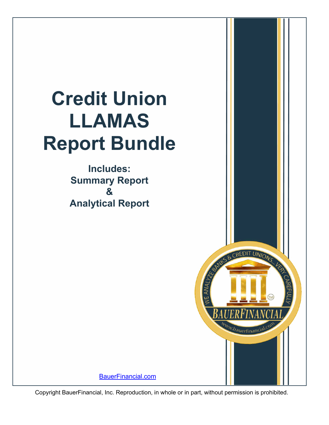# **Credit Union LLAMAS Report Bundle**

**Includes: Summary Report & Analytical Report**



[BauerFinancial.com](http://www.bauerfinancial.com)

Copyright BauerFinancial, Inc. Reproduction, in whole or in part, without permission is prohibited.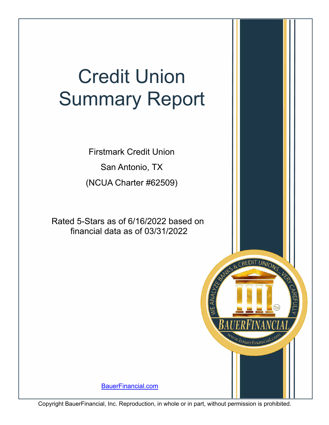# Credit Union Summary Report

San Antonio, TX Firstmark Credit Union (NCUA Charter #62509)

Rated 5-Stars as of 6/16/2022 based on financial data as of 03/31/2022

[BauerFinancial.com](http://www.bauerfinancial.com)

CREDIT UNIONS

ww.bauerfinancial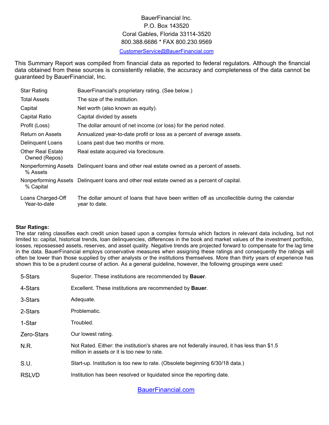# BauerFinancial Inc. P.O. Box 143520 Coral Gables, Florida 33114-3520 800.388.6686 \* FAX 800.230.9569

[CustomerService@BauerFinancial.com](mailto:CustomerService@BauerFinancial.com)

This Summary Report was compiled from financial data as reported to federal regulators. Although the financial data obtained from these sources is consistently reliable, the accuracy and completeness of the data cannot be guaranteed by BauerFinancial, Inc.

| <b>Star Rating</b>                        | BauerFinancial's proprietary rating. (See below.)                                                           |
|-------------------------------------------|-------------------------------------------------------------------------------------------------------------|
| <b>Total Assets</b>                       | The size of the institution.                                                                                |
| Capital                                   | Net worth (also known as equity).                                                                           |
| Capital Ratio                             | Capital divided by assets                                                                                   |
| Profit (Loss)                             | The dollar amount of net income (or loss) for the period noted.                                             |
| <b>Return on Assets</b>                   | Annualized year-to-date profit or loss as a percent of average assets.                                      |
| <b>Delinquent Loans</b>                   | Loans past due two months or more.                                                                          |
| <b>Other Real Estate</b><br>Owned (Repos) | Real estate acquired via foreclosure.                                                                       |
| % Assets                                  | Nonperforming Assets Delinquent loans and other real estate owned as a percent of assets.                   |
| % Capital                                 | Nonperforming Assets Delinquent loans and other real estate owned as a percent of capital.                  |
| Loans Charged-Off<br>Year-to-date         | The dollar amount of loans that have been written off as uncollectible during the calendar<br>year to date. |

#### **Star Ratings:**

The star rating classifies each credit union based upon a complex formula which factors in relevant data including, but not limited to: capital, historical trends, loan delinquencies, differences in the book and market values of the investment portfolio, losses, repossessed assets, reserves, and asset quality. Negative trends are projected forward to compensate for the lag time in the data. BauerFinancial employs conservative measures when assigning these ratings and consequently the ratings will often be lower than those supplied by other analysts or the institutions themselves. More than thirty years of experience has shown this to be a prudent course of action. As a general guideline, however, the following groupings were used:

| 5-Stars      | Superior. These institutions are recommended by <b>Bauer</b> .                                                                               |
|--------------|----------------------------------------------------------------------------------------------------------------------------------------------|
| 4-Stars      | Excellent. These institutions are recommended by <b>Bauer</b> .                                                                              |
| 3-Stars      | Adequate.                                                                                                                                    |
| 2-Stars      | Problematic.                                                                                                                                 |
| 1-Star       | Troubled.                                                                                                                                    |
| Zero-Stars   | Our lowest rating.                                                                                                                           |
| N.R.         | Not Rated. Either: the institution's shares are not federally insured, it has less than \$1.5<br>million in assets or it is too new to rate. |
| S.U.         | Start-up. Institution is too new to rate. (Obsolete beginning 6/30/18 data.)                                                                 |
| <b>RSLVD</b> | Institution has been resolved or liquidated since the reporting date.                                                                        |
|              |                                                                                                                                              |

[BauerFinancial.com](http://www.bauerfinancial.com)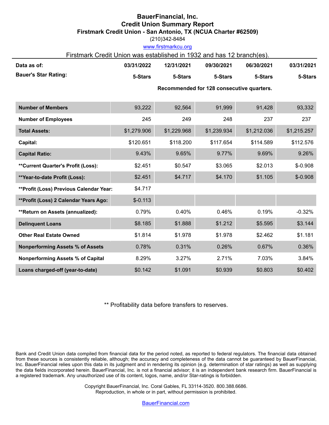# **BauerFinancial, Inc. Credit Union Summary Report Firstmark Credit Union - San Antonio, TX (NCUA Charter #62509)**

(210)342-8484

#### www.firstmarkcu.org

# Firstmark Credit Union was established in 1932 and has 12 branch(es).

| Data as of:                              | 03/31/2022  | 12/31/2021  | 09/30/2021                                | 06/30/2021  | 03/31/2021  |
|------------------------------------------|-------------|-------------|-------------------------------------------|-------------|-------------|
| <b>Bauer's Star Rating:</b>              | 5-Stars     | 5-Stars     | 5-Stars                                   | 5-Stars     | 5-Stars     |
|                                          |             |             | Recommended for 128 consecutive quarters. |             |             |
| <b>Number of Members</b>                 | 93,222      | 92,564      | 91,999                                    | 91,428      | 93,332      |
| <b>Number of Employees</b>               | 245         | 249         | 248                                       | 237         | 237         |
| <b>Total Assets:</b>                     | \$1,279.906 | \$1,229.968 | \$1,239.934                               | \$1,212.036 | \$1,215.257 |
| Capital:                                 | \$120.651   | \$118.200   | \$117.654                                 | \$114.589   | \$112.576   |
| <b>Capital Ratio:</b>                    | 9.43%       | 9.65%       | 9.77%                                     | 9.69%       | 9.26%       |
| **Current Quarter's Profit (Loss):       | \$2.451     | \$0.547     | \$3.065                                   | \$2.013     | $$-0.908$   |
| **Year-to-date Profit (Loss):            | \$2.451     | \$4.717     | \$4.170                                   | \$1.105     | $$ -0.908$  |
| **Profit (Loss) Previous Calendar Year:  | \$4.717     |             |                                           |             |             |
| **Profit (Loss) 2 Calendar Years Ago:    | $$-0.113$   |             |                                           |             |             |
| **Return on Assets (annualized):         | 0.79%       | 0.40%       | 0.46%                                     | 0.19%       | $-0.32%$    |
| <b>Delinquent Loans</b>                  | \$8.185     | \$1.888     | \$1.212                                   | \$5.595     | \$3.144     |
| <b>Other Real Estate Owned</b>           | \$1.814     | \$1.978     | \$1.978                                   | \$2.462     | \$1.181     |
| <b>Nonperforming Assets % of Assets</b>  | 0.78%       | 0.31%       | 0.26%                                     | 0.67%       | 0.36%       |
| <b>Nonperforming Assets % of Capital</b> | 8.29%       | 3.27%       | 2.71%                                     | 7.03%       | 3.84%       |
| Loans charged-off (year-to-date)         | \$0.142     | \$1.091     | \$0.939                                   | \$0.803     | \$0.402     |

\*\* Profitability data before transfers to reserves.

Bank and Credit Union data compiled from financial data for the period noted, as reported to federal regulators. The financial data obtained from these sources is consistently reliable, although; the accuracy and completeness of the data cannot be guaranteed by BauerFinancial, Inc. BauerFinancial relies upon this data in its judgment and in rendering its opinion (e.g. determination of star ratings) as well as supplying the data fields incorporated herein. BauerFinancial, Inc. is not a financial advisor; it is an independent bank research firm. BauerFinancial is a registered trademark. Any unauthorized use of its content, logos, name, and/or Star-ratings is forbidden.

> Copyright BauerFinancial, Inc. Coral Gables, FL 33114-3520. 800.388.6686. Reproduction, in whole or in part, without permission is prohibited.

> > [BauerFinancial.com](http://www.bauerfinancial.com)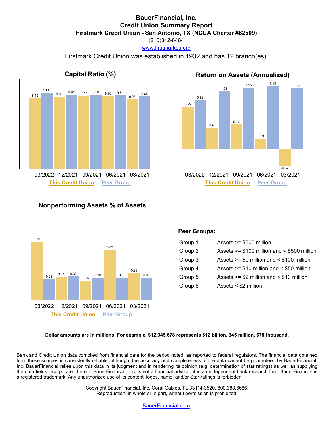# **BauerFinancial, Inc. Credit Union Summary Report Firstmark Credit Union - San Antonio, TX (NCUA Charter #62509)**

www.firstmarkcu.org (210)342-8484

Firstmark Credit Union was established in 1932 and has 12 branch(es).



# 0.79 0.92 0.40 1.09 0.46 1.15 0.19 1.18 -0.32 1.14 **Return on Assets (Annualized) This Credit Union Peer Group This Credit Union Peer Group**

# **Nonperforming Assets % of Assets**



#### **Peer Groups:**

| Group 1 | Assets $>= $500$ million                      |
|---------|-----------------------------------------------|
| Group 2 | Assets $>= $100$ million and $< $500$ million |
| Group 3 | Assets $>= 50$ million and $< $100$ million   |
| Group 4 | Assets $>= $10$ million and $< $50$ million   |
| Group 5 | Assets $>= $2$ million and $< $10$ million    |
| Group 6 | Assets $<$ \$2 million                        |

**Dollar amounts are in millions. For example, \$12,345.678 represents \$12 billion, 345 million, 678 thousand.**

Bank and Credit Union data compiled from financial data for the period noted, as reported to federal regulators. The financial data obtained from these sources is consistently reliable, although; the accuracy and completeness of the data cannot be guaranteed by BauerFinancial, Inc. BauerFinancial relies upon this data in its judgment and in rendering its opinion (e.g. determination of star ratings) as well as supplying the data fields incorporated herein. BauerFinancial, Inc. is not a financial advisor; it is an independent bank research firm. BauerFinancial is a registered trademark. Any unauthorized use of its content, logos, name, and/or Star-ratings is forbidden.

> Copyright BauerFinancial, Inc. Coral Gables, FL 33114-3520. 800.388.6686. Reproduction, in whole or in part, without permission is prohibited.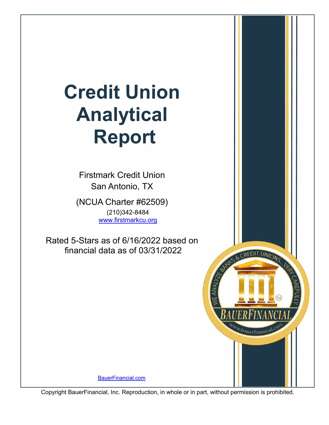# **Credit Union Analytical Report**

Firstmark Credit Union San Antonio, TX (NCUA Charter #62509) (210)342-8484 www.firstmarkcu.org

Rated 5-Stars as of 6/16/2022 based on financial data as of 03/31/2022

[BauerFinancial.com](http://www.bauerfinancial.com)

Copyright BauerFinancial, Inc. Reproduction, in whole or in part, without permission is prohibited.

& CREDIT UNIONS

ww.bauerfinancia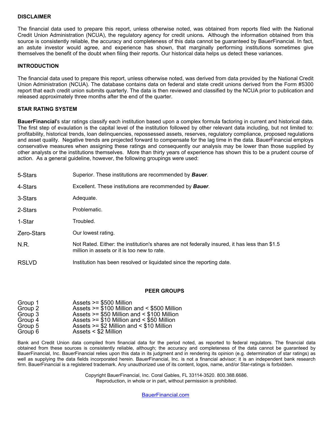#### **DISCLAIMER**

The financial data used to prepare this report, unless otherwise noted, was obtained from reports filed with the National Credit Union Administration (NCUA), the regulatory agency for credit unions**.** Although the information obtained from this source is consistently reliable, the accuracy and completeness of this data cannot be guaranteed by BauerFinancial. In fact, an astute investor would agree, and experience has shown, that marginally performing institutions sometimes give themselves the benefit of the doubt when filing their reports. Our historical data helps us detect these variances.

#### **INTRODUCTION**

The financial data used to prepare this report, unless otherwise noted, was derived from data provided by the National Credit Union Administration (NCUA). The database contains data on federal and state credit unions derived from the Form #5300 report that each credit union submits quarterly. The data is then reviewed and classified by the NCUA prior to publication and released approximately three months after the end of the quarter.

#### **STAR RATING SYSTEM**

**BauerFinancial**'s star ratings classify each institution based upon a complex formula factoring in current and historical data. The first step of evaulation is the capital level of the institution followed by other relevant data including, but not limited to: profitability, historical trends, loan delinquencies, repossessed assets, reserves, regulatory compliance, proposed regulations and asset quality. Negative trends are projected forward to compensate for the lag time in the data. BauerFinancial employs conservative measures when assigning these ratings and consequently our analysis may be lower than those supplied by other analysts or the institutions themselves. More than thirty years of experience has shown this to be a prudent course of action. As a general guideline, however, the following groupings were used:

| 5-Stars      | Superior. These institutions are recommended by <b>Bauer</b> .                                                                               |
|--------------|----------------------------------------------------------------------------------------------------------------------------------------------|
| 4-Stars      | Excellent. These institutions are recommended by <b>Bauer</b> .                                                                              |
| 3-Stars      | Adequate.                                                                                                                                    |
| 2-Stars      | Problematic.                                                                                                                                 |
| 1-Star       | Troubled.                                                                                                                                    |
| Zero-Stars   | Our lowest rating.                                                                                                                           |
| N.R.         | Not Rated. Either: the institution's shares are not federally insured, it has less than \$1.5<br>million in assets or it is too new to rate. |
| <b>RSLVD</b> | Institution has been resolved or liquidated since the reporting date.                                                                        |

#### **PEER GROUPS**

| Group 1 | Assets >= \$500 Million                       |
|---------|-----------------------------------------------|
| Group 2 | Assets $>= $100$ Million and $< $500$ Million |
| Group 3 | Assets $>= $50$ Million and $< $100$ Million  |
| Group 4 | Assets $>= $10$ Million and $< $50$ Million   |
| Group 5 | Assets $>= $2$ Million and $< $10$ Million    |
| Group 6 | Assets < \$2 Million                          |

Bank and Credit Union data compiled from financial data for the period noted, as reported to federal regulators. The financial data obtained from these sources is consistently reliable, although; the accuracy and completeness of the data cannot be guaranteed by BauerFinancial, Inc. BauerFinancial relies upon this data in its judgment and in rendering its opinion (e.g. determination of star ratings) as well as supplying the data fields incorporated herein. BauerFinancial, Inc. is not a financial advisor; it is an independent bank research firm. BauerFinancial is a registered trademark. Any unauthorized use of its content, logos, name, and/or Star-ratings is forbidden.

> Copyright BauerFinancial, Inc. Coral Gables, FL 33114-3520. 800.388.6686. Reproduction, in whole or in part, without permission is prohibited.

> > [BauerFinancial.com](http://www.bauerfinancial.com)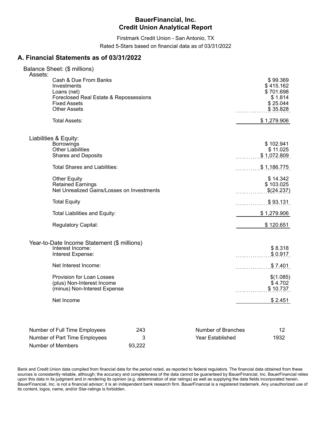Firstmark Credit Union - San Antonio, TX Rated 5-Stars based on financial data as of 03/31/2022

### **A. Financial Statements as of 03/31/2022**

| Balance Sheet: (\$ millions)                                                                                                                           |        |                         |                                                                       |
|--------------------------------------------------------------------------------------------------------------------------------------------------------|--------|-------------------------|-----------------------------------------------------------------------|
| Assets:<br>Cash & Due From Banks<br>Investments<br>Loans (net)<br>Foreclosed Real Estate & Repossessions<br><b>Fixed Assets</b><br><b>Other Assets</b> |        |                         | \$99.369<br>\$415.162<br>\$701.698<br>\$1.814<br>\$25.044<br>\$35.828 |
| <b>Total Assets:</b>                                                                                                                                   |        |                         | \$1,279.906                                                           |
| Liabilities & Equity:                                                                                                                                  |        |                         |                                                                       |
| <b>Borrowings</b><br><b>Other Liabilities</b><br><b>Shares and Deposits</b>                                                                            |        |                         | \$102.941<br>\$11.025<br>\$1,072.809                                  |
| <b>Total Shares and Liabilities:</b>                                                                                                                   |        | .                       | \$1,186.775                                                           |
| <b>Other Equity</b><br><b>Retained Earnings</b><br>Net Unrealized Gains/Losses on Investments                                                          |        | .                       | \$14.342<br>\$103.025<br>\$(24.237)                                   |
| <b>Total Equity</b>                                                                                                                                    |        | .                       | \$93.131                                                              |
| Total Liabilities and Equity:                                                                                                                          |        |                         | \$1,279.906                                                           |
| <b>Regulatory Capital:</b>                                                                                                                             |        |                         | \$120.651                                                             |
| Year-to-Date Income Statement (\$ millions)<br>Interest Income:<br>Interest Expense:                                                                   |        | .                       | \$8.318<br>\$0.917                                                    |
| Net Interest Income:                                                                                                                                   |        |                         | \$7.401                                                               |
| Provision for Loan Losses<br>(plus) Non-Interest Income<br>(minus) Non-Interest Expense                                                                |        |                         | \$(1.085)<br>\$4.702<br>\$10.737                                      |
| Net Income                                                                                                                                             |        |                         | \$2.451                                                               |
| Number of Full Time Employees                                                                                                                          | 243    | Number of Branches      | 12                                                                    |
| Number of Part Time Employees                                                                                                                          | 3      | <b>Year Established</b> | 1932                                                                  |
| Number of Members                                                                                                                                      | 93,222 |                         |                                                                       |

Bank and Credit Union data compiled from financial data for the period noted, as reported to federal regulators. The financial data obtained from these sources is consistently reliable, although; the accuracy and completeness of the data cannot be guaranteed by BauerFinancial, Inc. BauerFinancial relies upon this data in its judgment and in rendering its opinion (e.g. determination of star ratings) as well as supplying the data fields incorporated herein. BauerFinancial, Inc. is not a financial advisor; it is an independent bank research firm. BauerFinancial is a registered trademark. Any unauthorized use of its content, logos, name, and/or Star-ratings is forbidden.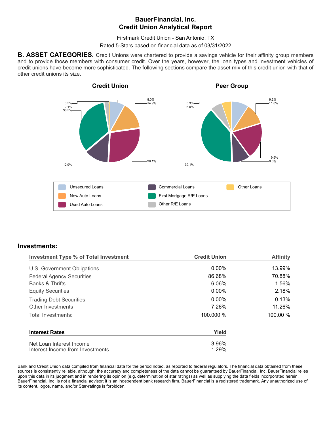Firstmark Credit Union - San Antonio, TX

Rated 5-Stars based on financial data as of 03/31/2022

**B. ASSET CATEGORIES.** Credit Unions were chartered to provide a savings vehicle for their affinity group members and to provide those members with consumer credit. Over the years, however, the loan types and investment vehicles of credit unions have become more sophisticated. The following sections compare the asset mix of this credit union with that of other credit unions its size.



#### **Investments:**

| <b>Investment Type % of Total Investment</b> | <b>Credit Union</b> | <b>Affinity</b> |  |
|----------------------------------------------|---------------------|-----------------|--|
| U.S. Government Obligations                  | $0.00\%$            | 13.99%          |  |
| <b>Federal Agency Securities</b>             | 86.68%              | 70.88%          |  |
| Banks & Thrifts                              | 6.06%               | 1.56%           |  |
| <b>Equity Securities</b>                     | $0.00\%$            | 2.18%           |  |
| <b>Trading Debt Securities</b>               | $0.00\%$            | 0.13%           |  |
| Other Investments                            | 7.26%               | 11.26%          |  |
| Total Investments:                           | 100.000 %           | 100.00 %        |  |
| <b>Interest Rates</b>                        | Yield               |                 |  |
| Net Loan Interest Income                     | 3.96%               |                 |  |
| Interest Income from Investments             | 1.29%               |                 |  |

Bank and Credit Union data compiled from financial data for the period noted, as reported to federal regulators. The financial data obtained from these sources is consistently reliable, although; the accuracy and completeness of the data cannot be quaranteed by BauerFinancial, Inc. BauerFinancial relies upon this data in its judgment and in rendering its opinion (e.g. determination of star ratings) as well as supplying the data fields incorporated herein. BauerFinancial, Inc. is not a financial advisor; it is an independent bank research firm. BauerFinancial is a registered trademark. Any unauthorized use of its content, logos, name, and/or Star-ratings is forbidden.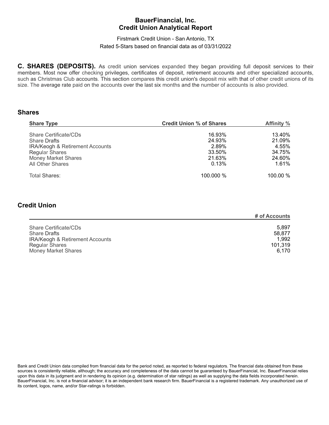### Firstmark Credit Union - San Antonio, TX Rated 5-Stars based on financial data as of 03/31/2022

**C. SHARES (DEPOSITS).** As credit union services expanded they began providing full deposit services to their members. Most now offer checking privileges, certificates of deposit, retirement accounts and other specialized accounts, such as Christmas Club accounts. This section compares this credit union's deposit mix with that of other credit unions of its size. The average rate paid on the accounts over the last six months and the number of accounts is also provided.

#### **Shares**

| <b>Share Type</b>                                                                                                                                                            | <b>Credit Union % of Shares</b>                        | Affinity %                                             |
|------------------------------------------------------------------------------------------------------------------------------------------------------------------------------|--------------------------------------------------------|--------------------------------------------------------|
| <b>Share Certificate/CDs</b><br><b>Share Drafts</b><br><b>IRA/Keogh &amp; Retirement Accounts</b><br><b>Regular Shares</b><br><b>Money Market Shares</b><br>All Other Shares | 16.93%<br>24.93%<br>2.89%<br>33.50%<br>21.63%<br>0.13% | 13.40%<br>21.09%<br>4.55%<br>34.75%<br>24.60%<br>1.61% |
| Total Shares:                                                                                                                                                                | 100.000 %                                              | $100.00 \%$                                            |

### **Credit Union**

|                                            | # of Accounts |
|--------------------------------------------|---------------|
| Share Certificate/CDs                      | 5.897         |
| <b>Share Drafts</b>                        | 58.877        |
| <b>IRA/Keogh &amp; Retirement Accounts</b> | 1.992         |
| <b>Regular Shares</b>                      | 101,319       |
| <b>Money Market Shares</b>                 | 6.170         |

Bank and Credit Union data compiled from financial data for the period noted, as reported to federal regulators. The financial data obtained from these sources is consistently reliable, although; the accuracy and completeness of the data cannot be guaranteed by BauerFinancial, Inc. BauerFinancial relies upon this data in its judgment and in rendering its opinion (e.g. determination of star ratings) as well as supplying the data fields incorporated herein. BauerFinancial, Inc. is not a financial advisor; it is an independent bank research firm. BauerFinancial is a registered trademark. Any unauthorized use of its content, logos, name, and/or Star-ratings is forbidden.